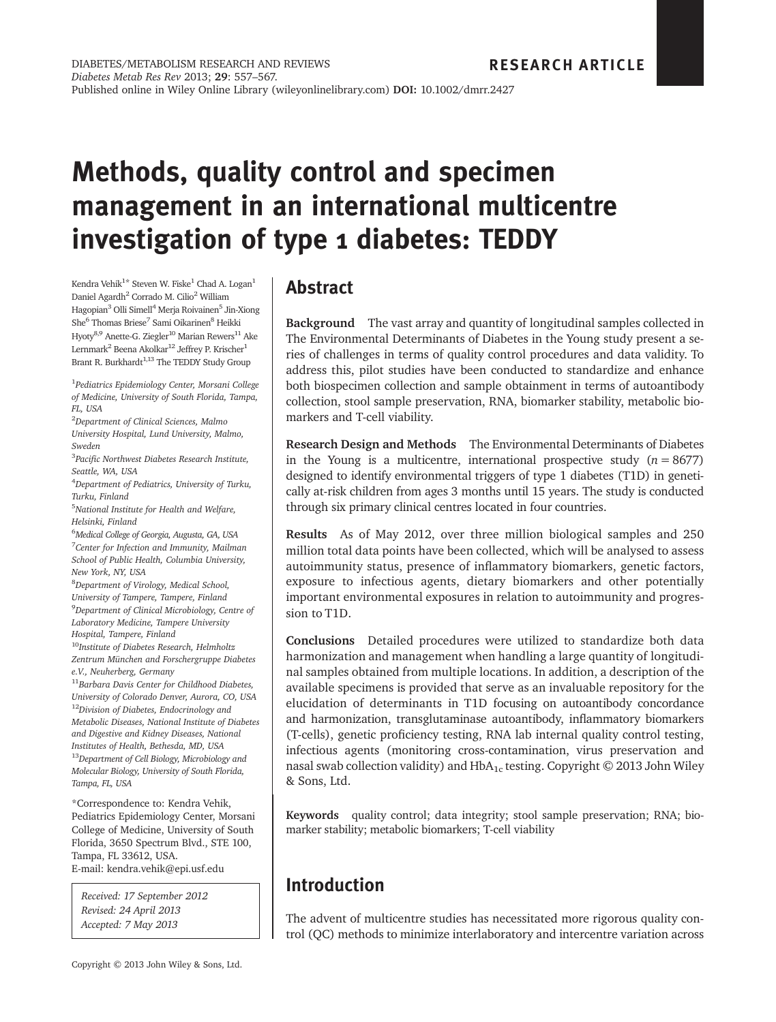# Methods, quality control and specimen management in an international multicentre investigation of type 1 diabetes: TEDDY

Kendra Vehik<sup>1\*</sup> Steven W. Fiske<sup>1</sup> Chad A. Logan<sup>1</sup> Daniel Agardh<sup>2</sup> Corrado M. Cilio<sup>2</sup> William Hagopian<sup>3</sup> Olli Simell<sup>4</sup> Merja Roivainen<sup>5</sup> Jin-Xiong She<sup>6</sup> Thomas Briese<sup>7</sup> Sami Oikarinen<sup>8</sup> Heikki Hyoty<sup>8,9</sup> Anette-G. Ziegler<sup>10</sup> Marian Rewers<sup>11</sup> Ake Lernmark<sup>2</sup> Beena Akolkar<sup>12</sup> Jeffrey P. Krischer<sup>1</sup> Brant R. Burkhardt<sup>1,13</sup> The TEDDY Study Group

<sup>1</sup>Pediatrics Epidemiology Center, Morsani College of Medicine, University of South Florida, Tampa, FL, USA

<sup>2</sup>Department of Clinical Sciences, Malmo University Hospital, Lund University, Malmo, Sweden

<sup>3</sup>Pacific Northwest Diabetes Research Institute, Seattle, WA, USA

4 Department of Pediatrics, University of Turku, Turku, Finland

<sup>5</sup>National Institute for Health and Welfare, Helsinki, Finland

<sup>6</sup>Medical College of Georgia, Augusta, GA, USA <sup>7</sup> Center for Infection and Immunity, Mailman School of Public Health, Columbia University, New York, NY, USA

8 Department of Virology, Medical School, University of Tampere, Tampere, Finland <sup>9</sup>Department of Clinical Microbiology, Centre of Laboratory Medicine, Tampere University Hospital, Tampere, Finland

<sup>10</sup>Institute of Diabetes Research, Helmholtz Zentrum München and Forschergruppe Diabetes e.V., Neuherberg, Germany

 $11$ Barbara Davis Center for Childhood Diabetes, University of Colorado Denver, Aurora, CO, USA <sup>12</sup>Division of Diabetes, Endocrinology and Metabolic Diseases, National Institute of Diabetes and Digestive and Kidney Diseases, National Institutes of Health, Bethesda, MD, USA 13Department of Cell Biology, Microbiology and Molecular Biology, University of South Florida, Tampa, FL, USA

\*Correspondence to: Kendra Vehik, Pediatrics Epidemiology Center, Morsani College of Medicine, University of South Florida, 3650 Spectrum Blvd., STE 100, Tampa, FL 33612, USA. E-mail: kendra.vehik@epi.usf.edu

Received: 17 September 2012 Revised: 24 April 2013 Accepted: 7 May 2013

# Abstract

**Background** The vast array and quantity of longitudinal samples collected in The Environmental Determinants of Diabetes in the Young study present a series of challenges in terms of quality control procedures and data validity. To address this, pilot studies have been conducted to standardize and enhance both biospecimen collection and sample obtainment in terms of autoantibody collection, stool sample preservation, RNA, biomarker stability, metabolic biomarkers and T-cell viability.

Research Design and Methods The Environmental Determinants of Diabetes in the Young is a multicentre, international prospective study  $(n = 8677)$ designed to identify environmental triggers of type 1 diabetes (T1D) in genetically at-risk children from ages 3 months until 15 years. The study is conducted through six primary clinical centres located in four countries.

Results As of May 2012, over three million biological samples and 250 million total data points have been collected, which will be analysed to assess autoimmunity status, presence of inflammatory biomarkers, genetic factors, exposure to infectious agents, dietary biomarkers and other potentially important environmental exposures in relation to autoimmunity and progression to T1D.

Conclusions Detailed procedures were utilized to standardize both data harmonization and management when handling a large quantity of longitudinal samples obtained from multiple locations. In addition, a description of the available specimens is provided that serve as an invaluable repository for the elucidation of determinants in T1D focusing on autoantibody concordance and harmonization, transglutaminase autoantibody, inflammatory biomarkers (T-cells), genetic proficiency testing, RNA lab internal quality control testing, infectious agents (monitoring cross-contamination, virus preservation and nasal swab collection validity) and  $HbA_{1c}$  testing. Copyright  $\odot$  2013 John Wiley & Sons, Ltd.

Keywords quality control; data integrity; stool sample preservation; RNA; biomarker stability; metabolic biomarkers; T-cell viability

# Introduction

The advent of multicentre studies has necessitated more rigorous quality control (QC) methods to minimize interlaboratory and intercentre variation across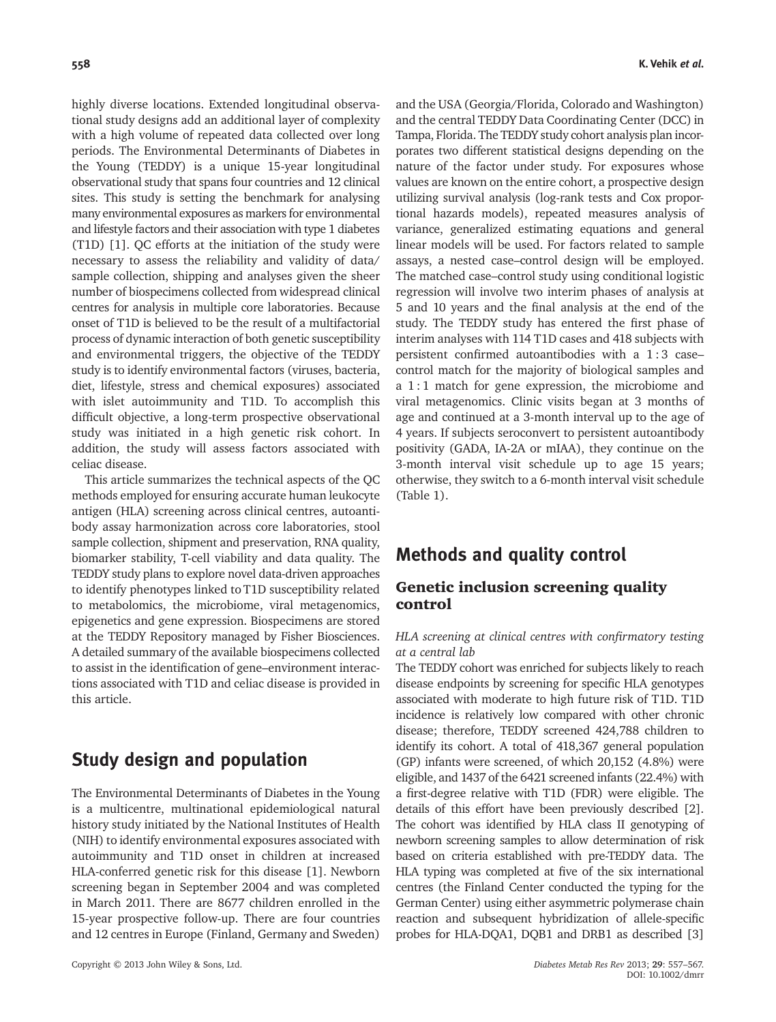highly diverse locations. Extended longitudinal observational study designs add an additional layer of complexity with a high volume of repeated data collected over long periods. The Environmental Determinants of Diabetes in the Young (TEDDY) is a unique 15-year longitudinal observational study that spans four countries and 12 clinical sites. This study is setting the benchmark for analysing many environmental exposures as markers for environmental and lifestyle factors and their association with type 1 diabetes (T1D) [1]. QC efforts at the initiation of the study were necessary to assess the reliability and validity of data/ sample collection, shipping and analyses given the sheer number of biospecimens collected from widespread clinical centres for analysis in multiple core laboratories. Because onset of T1D is believed to be the result of a multifactorial process of dynamic interaction of both genetic susceptibility and environmental triggers, the objective of the TEDDY study is to identify environmental factors (viruses, bacteria, diet, lifestyle, stress and chemical exposures) associated with islet autoimmunity and T1D. To accomplish this difficult objective, a long-term prospective observational study was initiated in a high genetic risk cohort. In addition, the study will assess factors associated with celiac disease.

This article summarizes the technical aspects of the QC methods employed for ensuring accurate human leukocyte antigen (HLA) screening across clinical centres, autoantibody assay harmonization across core laboratories, stool sample collection, shipment and preservation, RNA quality, biomarker stability, T-cell viability and data quality. The TEDDY study plans to explore novel data-driven approaches to identify phenotypes linked to T1D susceptibility related to metabolomics, the microbiome, viral metagenomics, epigenetics and gene expression. Biospecimens are stored at the TEDDY Repository managed by Fisher Biosciences. A detailed summary of the available biospecimens collected to assist in the identification of gene–environment interactions associated with T1D and celiac disease is provided in this article.

# Study design and population

The Environmental Determinants of Diabetes in the Young is a multicentre, multinational epidemiological natural history study initiated by the National Institutes of Health (NIH) to identify environmental exposures associated with autoimmunity and T1D onset in children at increased HLA-conferred genetic risk for this disease [1]. Newborn screening began in September 2004 and was completed in March 2011. There are 8677 children enrolled in the 15-year prospective follow-up. There are four countries and 12 centres in Europe (Finland, Germany and Sweden)

and the USA (Georgia/Florida, Colorado and Washington) and the central TEDDY Data Coordinating Center (DCC) in Tampa, Florida. The TEDDY study cohort analysis plan incorporates two different statistical designs depending on the nature of the factor under study. For exposures whose values are known on the entire cohort, a prospective design utilizing survival analysis (log-rank tests and Cox proportional hazards models), repeated measures analysis of variance, generalized estimating equations and general linear models will be used. For factors related to sample assays, a nested case–control design will be employed. The matched case–control study using conditional logistic regression will involve two interim phases of analysis at 5 and 10 years and the final analysis at the end of the study. The TEDDY study has entered the first phase of interim analyses with 114 T1D cases and 418 subjects with persistent confirmed autoantibodies with a 1 : 3 case– control match for the majority of biological samples and a 1:1 match for gene expression, the microbiome and viral metagenomics. Clinic visits began at 3 months of age and continued at a 3-month interval up to the age of 4 years. If subjects seroconvert to persistent autoantibody positivity (GADA, IA-2A or mIAA), they continue on the 3-month interval visit schedule up to age 15 years; otherwise, they switch to a 6-month interval visit schedule (Table 1).

# Methods and quality control

#### Genetic inclusion screening quality control

#### HLA screening at clinical centres with confirmatory testing at a central lab

The TEDDY cohort was enriched for subjects likely to reach disease endpoints by screening for specific HLA genotypes associated with moderate to high future risk of T1D. T1D incidence is relatively low compared with other chronic disease; therefore, TEDDY screened 424,788 children to identify its cohort. A total of 418,367 general population (GP) infants were screened, of which 20,152 (4.8%) were eligible, and 1437 of the 6421 screened infants (22.4%) with a first-degree relative with T1D (FDR) were eligible. The details of this effort have been previously described [2]. The cohort was identified by HLA class II genotyping of newborn screening samples to allow determination of risk based on criteria established with pre-TEDDY data. The HLA typing was completed at five of the six international centres (the Finland Center conducted the typing for the German Center) using either asymmetric polymerase chain reaction and subsequent hybridization of allele-specific probes for HLA-DQA1, DQB1 and DRB1 as described [3]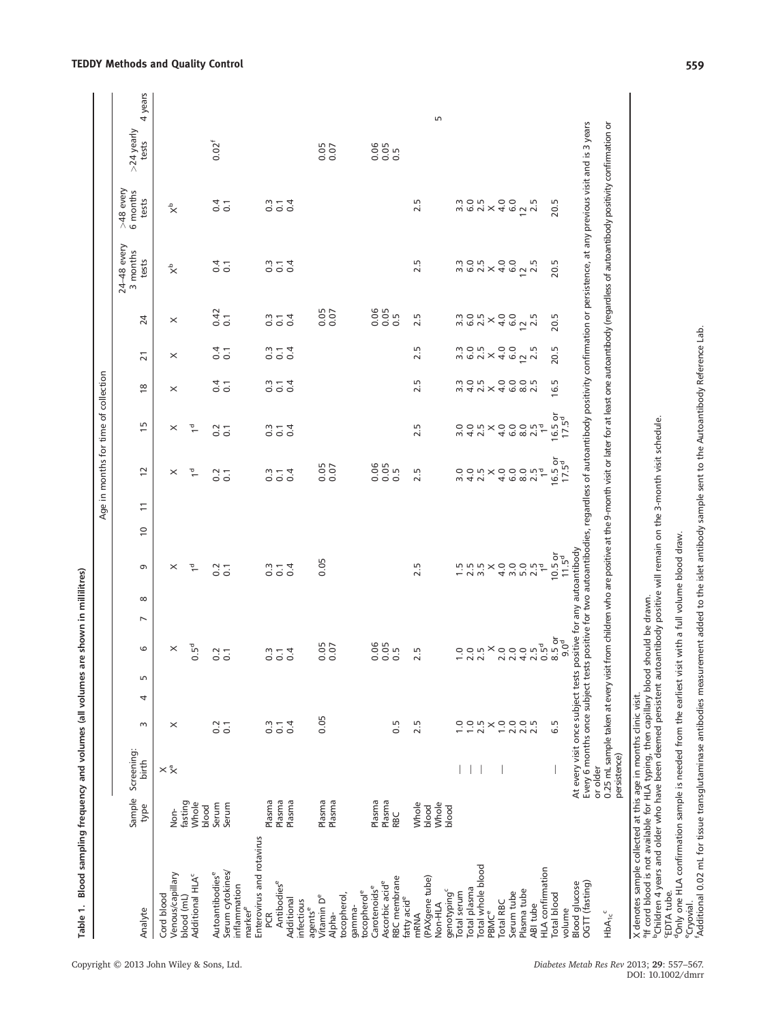|                                                                                                                                                                                                                                                                                                                                                                                                                                                                                                                                                                                                                         |                                  |                          |                                                                                        |   |                                        |                |                                                                                                                                                                                     |                         |                                                                                                                      | Age in months for time of collection        |                                                                                                                                 |                                                                       |                              |                                                                                                                                                                                                                                                                                                                                                                     |                                  |                       |         |
|-------------------------------------------------------------------------------------------------------------------------------------------------------------------------------------------------------------------------------------------------------------------------------------------------------------------------------------------------------------------------------------------------------------------------------------------------------------------------------------------------------------------------------------------------------------------------------------------------------------------------|----------------------------------|--------------------------|----------------------------------------------------------------------------------------|---|----------------------------------------|----------------|-------------------------------------------------------------------------------------------------------------------------------------------------------------------------------------|-------------------------|----------------------------------------------------------------------------------------------------------------------|---------------------------------------------|---------------------------------------------------------------------------------------------------------------------------------|-----------------------------------------------------------------------|------------------------------|---------------------------------------------------------------------------------------------------------------------------------------------------------------------------------------------------------------------------------------------------------------------------------------------------------------------------------------------------------------------|----------------------------------|-----------------------|---------|
| Analyte                                                                                                                                                                                                                                                                                                                                                                                                                                                                                                                                                                                                                 | Sample<br>type                   | Screening:<br>birth      | m                                                                                      | 4 | 6<br>S                                 | $\overline{ }$ | 0<br>$\infty$                                                                                                                                                                       | $\Xi$<br>$\overline{0}$ | 12                                                                                                                   | Б                                           | $\frac{8}{2}$                                                                                                                   | 21                                                                    | 24                           | $24-48$ every<br>3 months<br>tests                                                                                                                                                                                                                                                                                                                                  | $>48$ every<br>6 months<br>tests | $>24$ yearly<br>tests | 4 years |
| Venous/capillary<br>Cord blood                                                                                                                                                                                                                                                                                                                                                                                                                                                                                                                                                                                          | Non-                             | $\times^{\mathbb{R}}$    | $\times$                                                                               |   | ×                                      |                | $\times$                                                                                                                                                                            |                         | $\times$                                                                                                             | $\times$                                    | $\times$                                                                                                                        | $\times$                                                              | $\times$                     | $\mathbf{x}^{\circ}$                                                                                                                                                                                                                                                                                                                                                | $\approx$                        |                       |         |
| Additional HLA <sup>c</sup><br>blood (mL)                                                                                                                                                                                                                                                                                                                                                                                                                                                                                                                                                                               | fasting<br>Whole<br>blood        |                          |                                                                                        |   | $0.5^d$                                |                | ᆜ                                                                                                                                                                                   |                         | $\overline{C}$                                                                                                       | $\overline{1}$                              |                                                                                                                                 |                                                                       |                              |                                                                                                                                                                                                                                                                                                                                                                     |                                  |                       |         |
| Enterovirus and rotavirus<br>Serum cytokines/<br>Autoantibodies <sup>e</sup><br>inflammation<br>markere                                                                                                                                                                                                                                                                                                                                                                                                                                                                                                                 | Serum<br>Serum                   |                          | $\frac{2}{0.1}$                                                                        |   | 0.7                                    |                | 0.7                                                                                                                                                                                 |                         | 0.7                                                                                                                  | 0.7                                         | 0.1                                                                                                                             | 0.1                                                                   | 0.42                         | 0.1                                                                                                                                                                                                                                                                                                                                                                 | 0.1                              | $0.02^{f}$            |         |
| Antibodies <sup>e</sup><br>Additional<br>infectious<br>agentse<br>PCR                                                                                                                                                                                                                                                                                                                                                                                                                                                                                                                                                   | Plasma<br>Plasma<br>Plasma       |                          | 0.000                                                                                  |   | 0.74                                   |                | 0.74                                                                                                                                                                                |                         | $0.1$<br>0.4<br>S<br>ö                                                                                               | 3.74                                        | 0.74                                                                                                                            | 0.74                                                                  | 0.74                         | 0.74                                                                                                                                                                                                                                                                                                                                                                | 0.74                             |                       |         |
| tocopherole<br>tocopherol,<br>Vitamin De<br>gamma-<br>Alpha-                                                                                                                                                                                                                                                                                                                                                                                                                                                                                                                                                            | Plasma<br>Plasma                 |                          | 0.05                                                                                   |   | 0.05<br>0.07                           |                | 0.05                                                                                                                                                                                |                         | 0.05<br>0.07                                                                                                         |                                             |                                                                                                                                 |                                                                       | 0.05<br>0.07                 |                                                                                                                                                                                                                                                                                                                                                                     |                                  | 0.05                  |         |
| RBC membrane<br>Ascorbic acid <sup>e</sup><br>Carotenoidse<br>fatty acid <sup>e</sup>                                                                                                                                                                                                                                                                                                                                                                                                                                                                                                                                   | Plasma<br>Plasma<br>RBC          |                          | 0.5                                                                                    |   | 855<br>000                             |                |                                                                                                                                                                                     |                         | 0.05<br>0.05<br>0.5                                                                                                  |                                             |                                                                                                                                 |                                                                       | 0.06<br>0.05<br>Lņ<br>ö      |                                                                                                                                                                                                                                                                                                                                                                     |                                  | 0.05<br>0.05<br>0.5   |         |
| (PAXgene tube)<br>genotyping <sup>c</sup><br>Non-HLA<br><b>mRNA</b>                                                                                                                                                                                                                                                                                                                                                                                                                                                                                                                                                     | Whole<br>Whole<br>blood<br>blood |                          | 2.5                                                                                    |   | S<br>$\overline{\sim}$                 |                | 2.5                                                                                                                                                                                 |                         | S<br>$\sim$                                                                                                          | 2.5                                         | 2.5                                                                                                                             | 2.5                                                                   | Lņ<br>$\sim$                 | 2.5                                                                                                                                                                                                                                                                                                                                                                 | 2.5                              |                       | Б       |
| Total whole blood<br>Total plasma<br>Plasma tube<br>Serum tube<br>Total serum<br>Total RBC<br>ABI tube<br><b>PBMC<sup>e</sup></b>                                                                                                                                                                                                                                                                                                                                                                                                                                                                                       |                                  |                          | $1.28$<br>$1.28$<br>$1.29$<br>$1.29$<br>$1.29$<br>$1.29$<br>$1.29$<br>$1.29$<br>$1.29$ |   | conxooonmn<br>conxooonmn<br>conxooonmn |                | $\frac{5}{2}$<br>$\frac{1}{4}$ $\frac{1}{2}$ $\frac{1}{2}$ $\frac{1}{2}$ $\frac{1}{2}$ $\frac{1}{2}$ $\frac{1}{2}$ $\frac{1}{2}$ $\frac{1}{2}$ $\frac{1}{2}$<br>$\ddot{ }$ .<br>2.5 |                         | $\circ$<br>$\begin{array}{c}\n0 \\ 0 \\ 0 \\ 0 \\ 0 \\ 0 \\ 0 \\ 0 \\ 0\n\end{array}$<br>4.0<br>2.5<br>$\times$<br>m | $7.8000000$<br>$7.8000000$<br>$300$<br>$40$ | $\begin{array}{c}\n\mathbf{u} & \mathbf{v} \\ \mathbf{v} & \mathbf{v} \\ \mathbf{v} & \mathbf{v}\n\end{array}$<br>00005<br>4682 | 3.0<br>6.0<br>$2.5$<br>$2.40$<br>$6.0$<br>S<br>$\frac{1}{2}$ $\alpha$ | 3 0 15<br>3 0 15<br>$\times$ | $\begin{array}{cc}\n\mathbf{u}\cdot\mathbf{v} & \mathbf{v}\cdot\mathbf{v} \\ \mathbf{v}\cdot\mathbf{v}\cdot\mathbf{v} & \mathbf{v}\cdot\mathbf{v} \\ \mathbf{v}\cdot\mathbf{v}\cdot\mathbf{v}\cdot\mathbf{v}\cdot\mathbf{v}\cdot\mathbf{v}\n\end{array}$                                                                                                            | 3.0<br>6.0<br>2.5<br>4.000000000 |                       |         |
| <b>HLA</b> confirmation<br><b>Blood</b> glucose<br><b>Total blood</b><br>volume                                                                                                                                                                                                                                                                                                                                                                                                                                                                                                                                         |                                  |                          | 6.5                                                                                    |   | $9.0^{\rm d}$                          |                | At every visit once subject tests positive for any autoantibody<br>$10.5$ or<br>11.5 <sup>d</sup>                                                                                   |                         | 17.5 <sup>d</sup>                                                                                                    | $16.5$ or<br>$17.5d$                        | 16.5                                                                                                                            | 20.5                                                                  | 20.5                         | 20.5                                                                                                                                                                                                                                                                                                                                                                | 20.5                             |                       |         |
| OGTT (fasting)<br>$HbA_1c$                                                                                                                                                                                                                                                                                                                                                                                                                                                                                                                                                                                              |                                  | persistence)<br>or older |                                                                                        |   |                                        |                |                                                                                                                                                                                     |                         |                                                                                                                      |                                             |                                                                                                                                 |                                                                       |                              | 0.25 mL sample taken at every visit from children who are positive at the 9-month visit or later for at least one autoantibody (regardless of autoantibody positivity confirmation or<br>Every 6 months once subject tests positive for two autoantibodies, regardless of autoantibody positivity confirmation or persistence, at any previous visit and is 3 years |                                  |                       |         |
| Additional 0.02 mL for tissue transglutaminase antibodies measurement added to the islet antibody sample sent to the Autoantibody Reference Lab.<br><sup>b</sup> Children 4 years and older who have been deemed persistent autoantibody positive will remain on the 3-month visit schedule.<br>donly one HLA confirmation sample is needed from the earliest visit with a full volume blood draw.<br>X denotes sample collected at this age in months clinic visit.<br><sup>"If</sup> cord blood is not available for HLA typing, then capillary blood should be drawn.<br><b>EDTA</b> tube.<br><sup>e</sup> Cryovial. |                                  |                          |                                                                                        |   |                                        |                |                                                                                                                                                                                     |                         |                                                                                                                      |                                             |                                                                                                                                 |                                                                       |                              |                                                                                                                                                                                                                                                                                                                                                                     |                                  |                       |         |

TEDDY Methods and Quality Control 559

Table 1. Blood sampling frequency and volumes (all volumes are shown in millilitres)

Table 1. Blood sampling frequency and volumes (all volumes are shown in millilitres)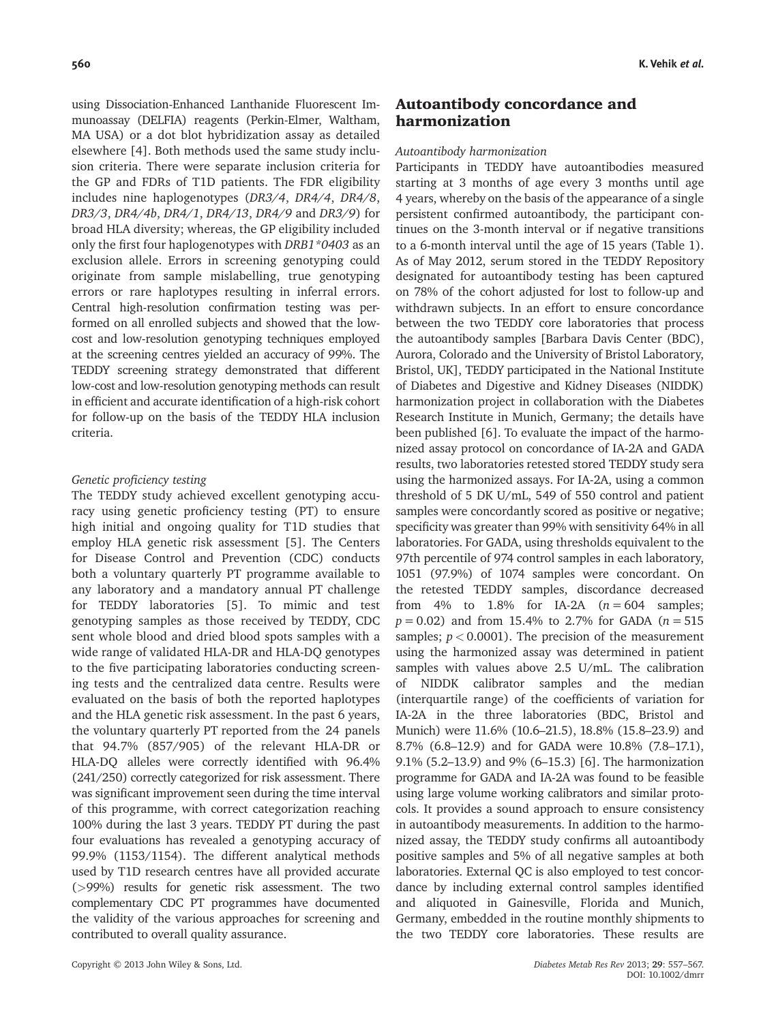using Dissociation-Enhanced Lanthanide Fluorescent Immunoassay (DELFIA) reagents (Perkin-Elmer, Waltham, MA USA) or a dot blot hybridization assay as detailed elsewhere [4]. Both methods used the same study inclusion criteria. There were separate inclusion criteria for the GP and FDRs of T1D patients. The FDR eligibility includes nine haplogenotypes (DR3/4, DR4/4, DR4/8, DR3/3, DR4/4b, DR4/1, DR4/13, DR4/9 and DR3/9) for broad HLA diversity; whereas, the GP eligibility included only the first four haplogenotypes with DRB1\*0403 as an exclusion allele. Errors in screening genotyping could originate from sample mislabelling, true genotyping errors or rare haplotypes resulting in inferral errors. Central high-resolution confirmation testing was performed on all enrolled subjects and showed that the lowcost and low-resolution genotyping techniques employed at the screening centres yielded an accuracy of 99%. The TEDDY screening strategy demonstrated that different low-cost and low-resolution genotyping methods can result in efficient and accurate identification of a high-risk cohort for follow-up on the basis of the TEDDY HLA inclusion criteria.

#### Genetic proficiency testing

The TEDDY study achieved excellent genotyping accuracy using genetic proficiency testing (PT) to ensure high initial and ongoing quality for T1D studies that employ HLA genetic risk assessment [5]. The Centers for Disease Control and Prevention (CDC) conducts both a voluntary quarterly PT programme available to any laboratory and a mandatory annual PT challenge for TEDDY laboratories [5]. To mimic and test genotyping samples as those received by TEDDY, CDC sent whole blood and dried blood spots samples with a wide range of validated HLA-DR and HLA-DQ genotypes to the five participating laboratories conducting screening tests and the centralized data centre. Results were evaluated on the basis of both the reported haplotypes and the HLA genetic risk assessment. In the past 6 years, the voluntary quarterly PT reported from the 24 panels that 94.7% (857/905) of the relevant HLA-DR or HLA-DQ alleles were correctly identified with 96.4% (241/250) correctly categorized for risk assessment. There was significant improvement seen during the time interval of this programme, with correct categorization reaching 100% during the last 3 years. TEDDY PT during the past four evaluations has revealed a genotyping accuracy of 99.9% (1153/1154). The different analytical methods used by T1D research centres have all provided accurate (>99%) results for genetic risk assessment. The two complementary CDC PT programmes have documented the validity of the various approaches for screening and contributed to overall quality assurance.

#### Autoantibody concordance and harmonization

#### Autoantibody harmonization

Participants in TEDDY have autoantibodies measured starting at 3 months of age every 3 months until age 4 years, whereby on the basis of the appearance of a single persistent confirmed autoantibody, the participant continues on the 3-month interval or if negative transitions to a 6-month interval until the age of 15 years (Table 1). As of May 2012, serum stored in the TEDDY Repository designated for autoantibody testing has been captured on 78% of the cohort adjusted for lost to follow-up and withdrawn subjects. In an effort to ensure concordance between the two TEDDY core laboratories that process the autoantibody samples [Barbara Davis Center (BDC), Aurora, Colorado and the University of Bristol Laboratory, Bristol, UK], TEDDY participated in the National Institute of Diabetes and Digestive and Kidney Diseases (NIDDK) harmonization project in collaboration with the Diabetes Research Institute in Munich, Germany; the details have been published [6]. To evaluate the impact of the harmonized assay protocol on concordance of IA-2A and GADA results, two laboratories retested stored TEDDY study sera using the harmonized assays. For IA-2A, using a common threshold of 5 DK U/mL, 549 of 550 control and patient samples were concordantly scored as positive or negative; specificity was greater than 99% with sensitivity 64% in all laboratories. For GADA, using thresholds equivalent to the 97th percentile of 974 control samples in each laboratory, 1051 (97.9%) of 1074 samples were concordant. On the retested TEDDY samples, discordance decreased from 4% to 1.8% for IA-2A  $(n = 604$  samples;  $p = 0.02$ ) and from 15.4% to 2.7% for GADA ( $n = 515$ ) samples;  $p < 0.0001$ ). The precision of the measurement using the harmonized assay was determined in patient samples with values above 2.5 U/mL. The calibration of NIDDK calibrator samples and the median (interquartile range) of the coefficients of variation for IA-2A in the three laboratories (BDC, Bristol and Munich) were 11.6% (10.6–21.5), 18.8% (15.8–23.9) and 8.7% (6.8–12.9) and for GADA were 10.8% (7.8–17.1), 9.1% (5.2–13.9) and 9% (6–15.3) [6]. The harmonization programme for GADA and IA-2A was found to be feasible using large volume working calibrators and similar protocols. It provides a sound approach to ensure consistency in autoantibody measurements. In addition to the harmonized assay, the TEDDY study confirms all autoantibody positive samples and 5% of all negative samples at both laboratories. External QC is also employed to test concordance by including external control samples identified and aliquoted in Gainesville, Florida and Munich, Germany, embedded in the routine monthly shipments to the two TEDDY core laboratories. These results are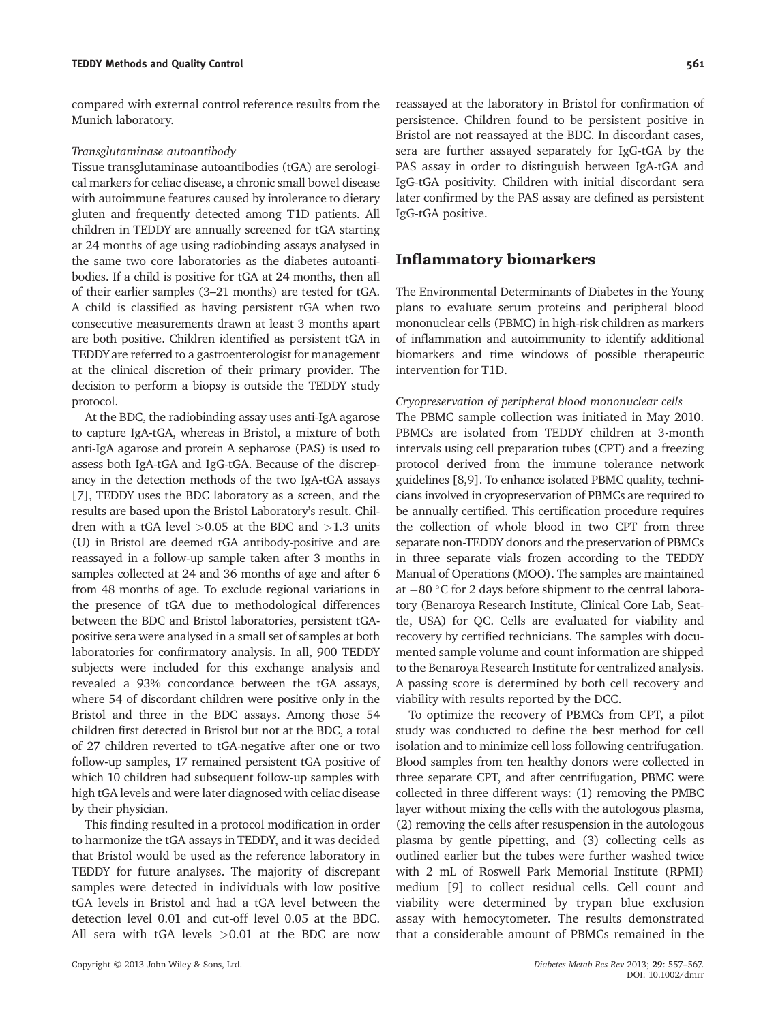compared with external control reference results from the Munich laboratory.

#### Transglutaminase autoantibody

Tissue transglutaminase autoantibodies (tGA) are serological markers for celiac disease, a chronic small bowel disease with autoimmune features caused by intolerance to dietary gluten and frequently detected among T1D patients. All children in TEDDY are annually screened for tGA starting at 24 months of age using radiobinding assays analysed in the same two core laboratories as the diabetes autoantibodies. If a child is positive for tGA at 24 months, then all of their earlier samples (3–21 months) are tested for tGA. A child is classified as having persistent tGA when two consecutive measurements drawn at least 3 months apart are both positive. Children identified as persistent tGA in TEDDY are referred to a gastroenterologist for management at the clinical discretion of their primary provider. The decision to perform a biopsy is outside the TEDDY study protocol.

At the BDC, the radiobinding assay uses anti-IgA agarose to capture IgA-tGA, whereas in Bristol, a mixture of both anti-IgA agarose and protein A sepharose (PAS) is used to assess both IgA-tGA and IgG-tGA. Because of the discrepancy in the detection methods of the two IgA-tGA assays [7], TEDDY uses the BDC laboratory as a screen, and the results are based upon the Bristol Laboratory's result. Children with a tGA level  $>0.05$  at the BDC and  $>1.3$  units (U) in Bristol are deemed tGA antibody-positive and are reassayed in a follow-up sample taken after 3 months in samples collected at 24 and 36 months of age and after 6 from 48 months of age. To exclude regional variations in the presence of tGA due to methodological differences between the BDC and Bristol laboratories, persistent tGApositive sera were analysed in a small set of samples at both laboratories for confirmatory analysis. In all, 900 TEDDY subjects were included for this exchange analysis and revealed a 93% concordance between the tGA assays, where 54 of discordant children were positive only in the Bristol and three in the BDC assays. Among those 54 children first detected in Bristol but not at the BDC, a total of 27 children reverted to tGA-negative after one or two follow-up samples, 17 remained persistent tGA positive of which 10 children had subsequent follow-up samples with high tGA levels and were later diagnosed with celiac disease by their physician.

This finding resulted in a protocol modification in order to harmonize the tGA assays in TEDDY, and it was decided that Bristol would be used as the reference laboratory in TEDDY for future analyses. The majority of discrepant samples were detected in individuals with low positive tGA levels in Bristol and had a tGA level between the detection level 0.01 and cut-off level 0.05 at the BDC. All sera with tGA levels  $>0.01$  at the BDC are now

reassayed at the laboratory in Bristol for confirmation of persistence. Children found to be persistent positive in Bristol are not reassayed at the BDC. In discordant cases, sera are further assayed separately for IgG-tGA by the PAS assay in order to distinguish between IgA-tGA and IgG-tGA positivity. Children with initial discordant sera later confirmed by the PAS assay are defined as persistent IgG-tGA positive.

#### Inflammatory biomarkers

The Environmental Determinants of Diabetes in the Young plans to evaluate serum proteins and peripheral blood mononuclear cells (PBMC) in high-risk children as markers of inflammation and autoimmunity to identify additional biomarkers and time windows of possible therapeutic intervention for T1D.

#### Cryopreservation of peripheral blood mononuclear cells

The PBMC sample collection was initiated in May 2010. PBMCs are isolated from TEDDY children at 3-month intervals using cell preparation tubes (CPT) and a freezing protocol derived from the immune tolerance network guidelines [8,9]. To enhance isolated PBMC quality, technicians involved in cryopreservation of PBMCs are required to be annually certified. This certification procedure requires the collection of whole blood in two CPT from three separate non-TEDDY donors and the preservation of PBMCs in three separate vials frozen according to the TEDDY Manual of Operations (MOO). The samples are maintained at  $-80$  °C for 2 days before shipment to the central laboratory (Benaroya Research Institute, Clinical Core Lab, Seattle, USA) for QC. Cells are evaluated for viability and recovery by certified technicians. The samples with documented sample volume and count information are shipped to the Benaroya Research Institute for centralized analysis. A passing score is determined by both cell recovery and viability with results reported by the DCC.

To optimize the recovery of PBMCs from CPT, a pilot study was conducted to define the best method for cell isolation and to minimize cell loss following centrifugation. Blood samples from ten healthy donors were collected in three separate CPT, and after centrifugation, PBMC were collected in three different ways: (1) removing the PMBC layer without mixing the cells with the autologous plasma, (2) removing the cells after resuspension in the autologous plasma by gentle pipetting, and (3) collecting cells as outlined earlier but the tubes were further washed twice with 2 mL of Roswell Park Memorial Institute (RPMI) medium [9] to collect residual cells. Cell count and viability were determined by trypan blue exclusion assay with hemocytometer. The results demonstrated that a considerable amount of PBMCs remained in the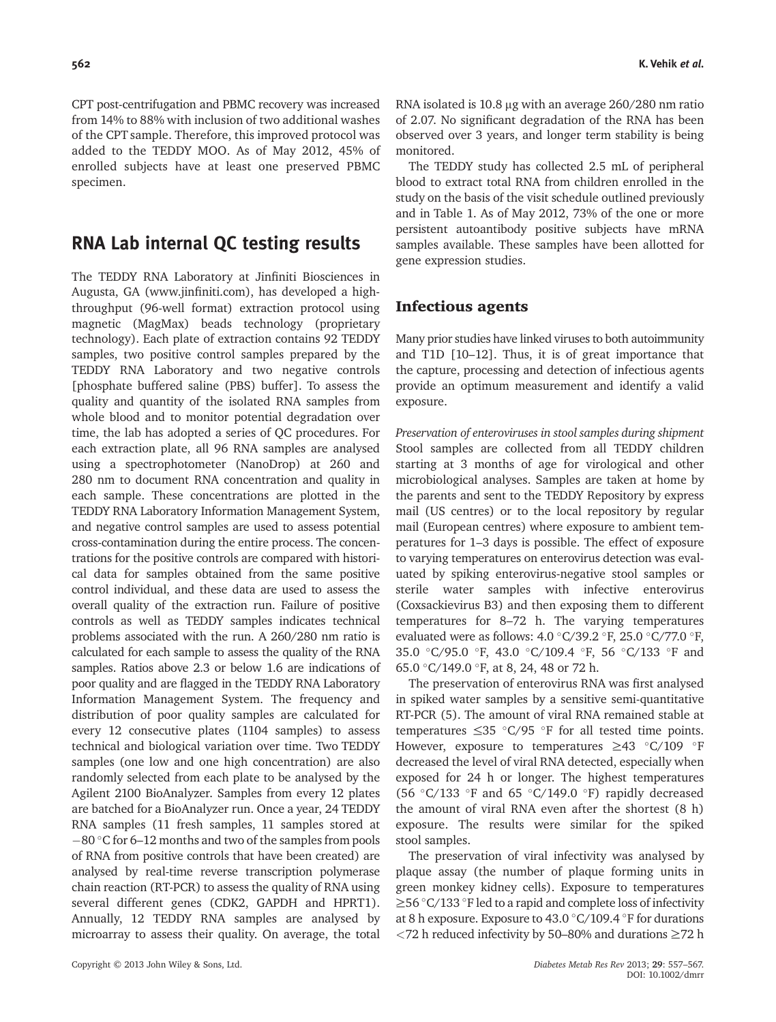CPT post-centrifugation and PBMC recovery was increased from 14% to 88% with inclusion of two additional washes of the CPT sample. Therefore, this improved protocol was added to the TEDDY MOO. As of May 2012, 45% of enrolled subjects have at least one preserved PBMC specimen.

# RNA Lab internal QC testing results

The TEDDY RNA Laboratory at Jinfiniti Biosciences in Augusta, GA ([www.jin](http://www.jinfiniti.com)finiti.com), has developed a highthroughput (96-well format) extraction protocol using magnetic (MagMax) beads technology (proprietary technology). Each plate of extraction contains 92 TEDDY samples, two positive control samples prepared by the TEDDY RNA Laboratory and two negative controls [phosphate buffered saline (PBS) buffer]. To assess the quality and quantity of the isolated RNA samples from whole blood and to monitor potential degradation over time, the lab has adopted a series of QC procedures. For each extraction plate, all 96 RNA samples are analysed using a spectrophotometer (NanoDrop) at 260 and 280 nm to document RNA concentration and quality in each sample. These concentrations are plotted in the TEDDY RNA Laboratory Information Management System, and negative control samples are used to assess potential cross-contamination during the entire process. The concentrations for the positive controls are compared with historical data for samples obtained from the same positive control individual, and these data are used to assess the overall quality of the extraction run. Failure of positive controls as well as TEDDY samples indicates technical problems associated with the run. A 260/280 nm ratio is calculated for each sample to assess the quality of the RNA samples. Ratios above 2.3 or below 1.6 are indications of poor quality and are flagged in the TEDDY RNA Laboratory Information Management System. The frequency and distribution of poor quality samples are calculated for every 12 consecutive plates (1104 samples) to assess technical and biological variation over time. Two TEDDY samples (one low and one high concentration) are also randomly selected from each plate to be analysed by the Agilent 2100 BioAnalyzer. Samples from every 12 plates are batched for a BioAnalyzer run. Once a year, 24 TEDDY RNA samples (11 fresh samples, 11 samples stored at  $-80$  °C for 6–12 months and two of the samples from pools of RNA from positive controls that have been created) are analysed by real-time reverse transcription polymerase chain reaction (RT-PCR) to assess the quality of RNA using several different genes (CDK2, GAPDH and HPRT1). Annually, 12 TEDDY RNA samples are analysed by microarray to assess their quality. On average, the total

RNA isolated is 10.8  $\mu$ g with an average 260/280 nm ratio of 2.07. No significant degradation of the RNA has been observed over 3 years, and longer term stability is being monitored.

The TEDDY study has collected 2.5 mL of peripheral blood to extract total RNA from children enrolled in the study on the basis of the visit schedule outlined previously and in Table 1. As of May 2012, 73% of the one or more persistent autoantibody positive subjects have mRNA samples available. These samples have been allotted for gene expression studies.

#### Infectious agents

Many prior studies have linked viruses to both autoimmunity and T1D [10–12]. Thus, it is of great importance that the capture, processing and detection of infectious agents provide an optimum measurement and identify a valid exposure.

Preservation of enteroviruses in stool samples during shipment Stool samples are collected from all TEDDY children starting at 3 months of age for virological and other microbiological analyses. Samples are taken at home by the parents and sent to the TEDDY Repository by express mail (US centres) or to the local repository by regular mail (European centres) where exposure to ambient temperatures for 1–3 days is possible. The effect of exposure to varying temperatures on enterovirus detection was evaluated by spiking enterovirus-negative stool samples or sterile water samples with infective enterovirus (Coxsackievirus B3) and then exposing them to different temperatures for 8–72 h. The varying temperatures evaluated were as follows:  $4.0 \degree C/39.2 \degree F$ ,  $25.0 \degree C/77.0 \degree F$ , 35.0 °C/95.0 °F, 43.0 °C/109.4 °F, 56 °C/133 °F and 65.0 °C/149.0 °F, at 8, 24, 48 or 72 h.

The preservation of enterovirus RNA was first analysed in spiked water samples by a sensitive semi-quantitative RT-PCR (5). The amount of viral RNA remained stable at temperatures  $≤35$  °C/95 °F for all tested time points. However, exposure to temperatures  $\geq$ 43 °C/109 °F decreased the level of viral RNA detected, especially when exposed for 24 h or longer. The highest temperatures (56 °C/133 °F and 65 °C/149.0 °F) rapidly decreased the amount of viral RNA even after the shortest (8 h) exposure. The results were similar for the spiked stool samples.

The preservation of viral infectivity was analysed by plaque assay (the number of plaque forming units in green monkey kidney cells). Exposure to temperatures  $\geq$ 56 °C/133 °F led to a rapid and complete loss of infectivity at 8 h exposure. Exposure to  $43.0\degree$ C/109.4  $\degree$ F for durations <72 h reduced infectivity by 50–80% and durations ≥72 h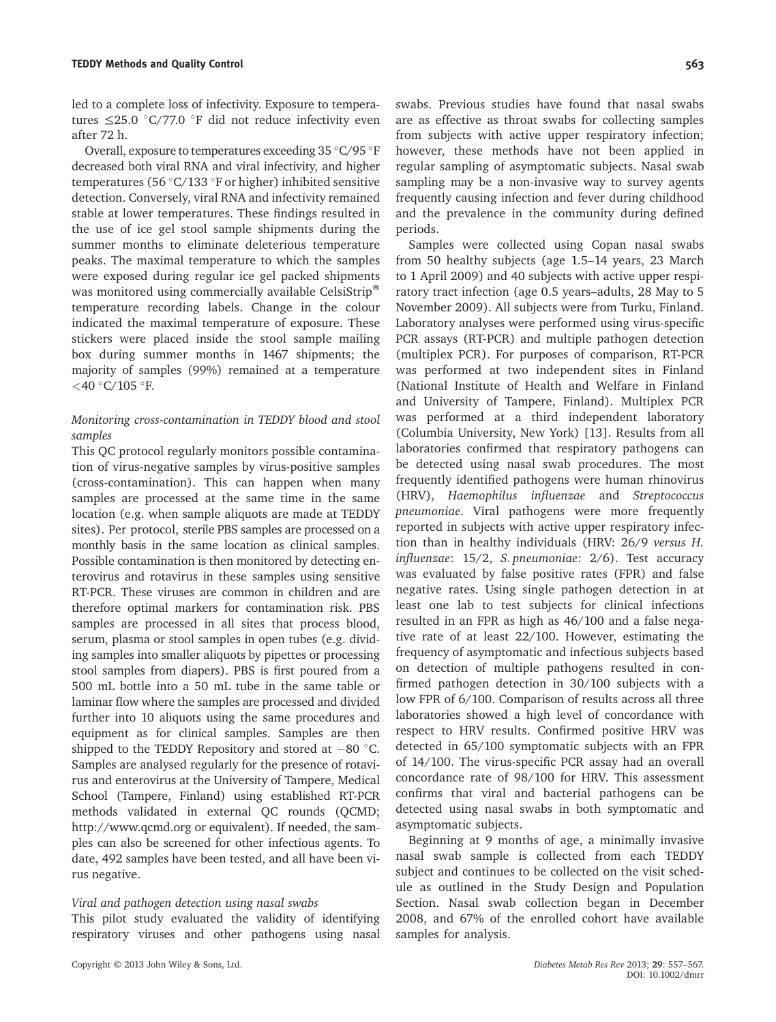led to a complete loss of infectivity. Exposure to temperatures  $\leq$ 25.0 °C/77.0 °F did not reduce infectivity even after 72 h.

Overall, exposure to temperatures exceeding  $35^{\circ}$ C/95 $^{\circ}$ F decreased both viral RNA and viral infectivity, and higher temperatures (56 $\degree$ C/133 $\degree$ F or higher) inhibited sensitive detection. Conversely, viral RNA and infectivity remained stable at lower temperatures. These findings resulted in the use of ice gel stool sample shipments during the summer months to eliminate deleterious temperature peaks. The maximal temperature to which the samples were exposed during regular ice gel packed shipments was monitored using commercially available CelsiStrip<sup>®</sup> temperature recording labels. Change in the colour indicated the maximal temperature of exposure. These stickers were placed inside the stool sample mailing box during summer months in 1467 shipments; the majority of samples (99%) remained at a temperature  $<$ 40 °C/105 °F.

#### Monitoring cross-contamination in TEDDY blood and stool samples

This QC protocol regularly monitors possible contamination of virus-negative samples by virus-positive samples (cross-contamination). This can happen when many samples are processed at the same time in the same location (e.g. when sample aliquots are made at TEDDY sites). Per protocol, sterile PBS samples are processed on a monthly basis in the same location as clinical samples. Possible contamination is then monitored by detecting enterovirus and rotavirus in these samples using sensitive RT-PCR. These viruses are common in children and are therefore optimal markers for contamination risk. PBS samples are processed in all sites that process blood, serum, plasma or stool samples in open tubes (e.g. dividing samples into smaller aliquots by pipettes or processing stool samples from diapers). PBS is first poured from a 500 mL bottle into a 50 mL tube in the same table or laminar flow where the samples are processed and divided further into 10 aliquots using the same procedures and equipment as for clinical samples. Samples are then shipped to the TEDDY Repository and stored at  $-80$  °C. Samples are analysed regularly for the presence of rotavirus and enterovirus at the University of Tampere, Medical School (Tampere, Finland) using established RT-PCR methods validated in external QC rounds (QCMD; <http://www.qcmd.org> or equivalent). If needed, the samples can also be screened for other infectious agents. To date, 492 samples have been tested, and all have been virus negative.

#### Viral and pathogen detection using nasal swabs

This pilot study evaluated the validity of identifying respiratory viruses and other pathogens using nasal swabs. Previous studies have found that nasal swabs are as effective as throat swabs for collecting samples from subjects with active upper respiratory infection; however, these methods have not been applied in regular sampling of asymptomatic subjects. Nasal swab sampling may be a non-invasive way to survey agents frequently causing infection and fever during childhood and the prevalence in the community during defined periods.

Samples were collected using Copan nasal swabs from 50 healthy subjects (age 1.5–14 years, 23 March to 1 April 2009) and 40 subjects with active upper respiratory tract infection (age 0.5 years–adults, 28 May to 5 November 2009). All subjects were from Turku, Finland. Laboratory analyses were performed using virus-specific PCR assays (RT-PCR) and multiple pathogen detection (multiplex PCR). For purposes of comparison, RT-PCR was performed at two independent sites in Finland (National Institute of Health and Welfare in Finland and University of Tampere, Finland). Multiplex PCR was performed at a third independent laboratory (Columbia University, New York) [13]. Results from all laboratories confirmed that respiratory pathogens can be detected using nasal swab procedures. The most frequently identified pathogens were human rhinovirus (HRV), Haemophilus influenzae and Streptococcus pneumoniae. Viral pathogens were more frequently reported in subjects with active upper respiratory infection than in healthy individuals (HRV: 26/9 versus H. influenzae: 15/2, S. pneumoniae: 2/6). Test accuracy was evaluated by false positive rates (FPR) and false negative rates. Using single pathogen detection in at least one lab to test subjects for clinical infections resulted in an FPR as high as 46/100 and a false negative rate of at least 22/100. However, estimating the frequency of asymptomatic and infectious subjects based on detection of multiple pathogens resulted in confirmed pathogen detection in 30/100 subjects with a low FPR of 6/100. Comparison of results across all three laboratories showed a high level of concordance with respect to HRV results. Confirmed positive HRV was detected in 65/100 symptomatic subjects with an FPR of 14/100. The virus-specific PCR assay had an overall concordance rate of 98/100 for HRV. This assessment confirms that viral and bacterial pathogens can be detected using nasal swabs in both symptomatic and asymptomatic subjects.

Beginning at 9 months of age, a minimally invasive nasal swab sample is collected from each TEDDY subject and continues to be collected on the visit schedule as outlined in the Study Design and Population Section. Nasal swab collection began in December 2008, and 67% of the enrolled cohort have available samples for analysis.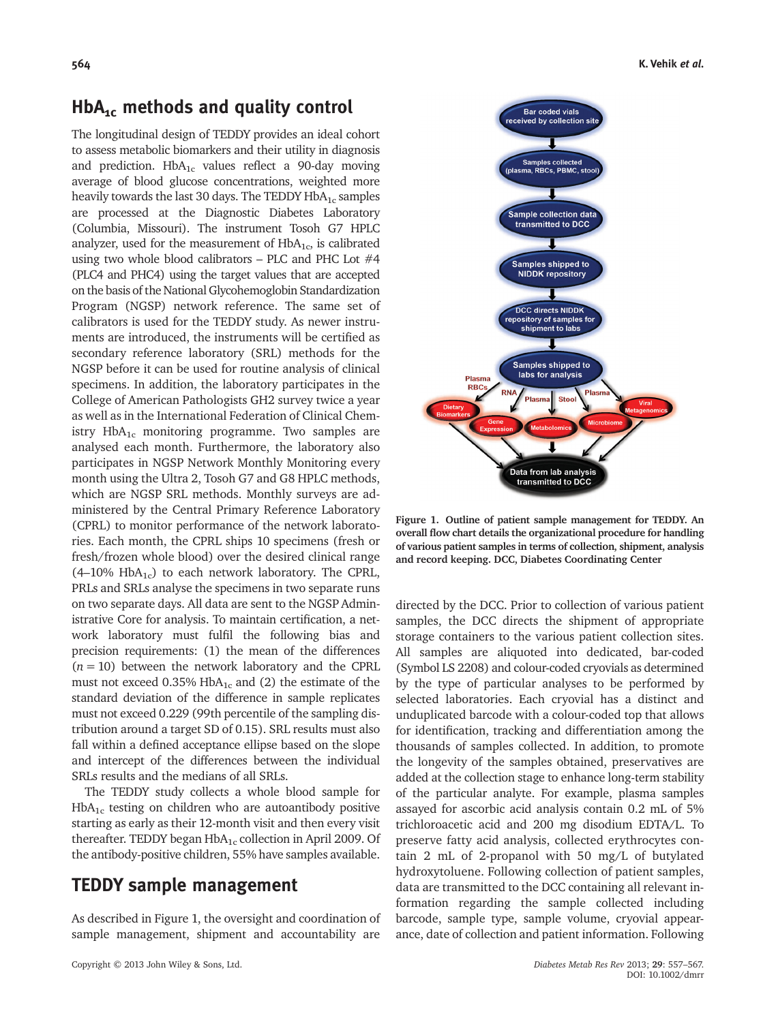# $HbA_{1c}$  methods and quality control

The longitudinal design of TEDDY provides an ideal cohort to assess metabolic biomarkers and their utility in diagnosis and prediction.  $HbA_{1c}$  values reflect a 90-day moving average of blood glucose concentrations, weighted more heavily towards the last 30 days. The TEDDY  $HbA_{1c}$  samples are processed at the Diagnostic Diabetes Laboratory (Columbia, Missouri). The instrument Tosoh G7 HPLC analyzer, used for the measurement of  $HbA<sub>1c</sub>$ , is calibrated using two whole blood calibrators  $-$  PLC and PHC Lot  $#4$ (PLC4 and PHC4) using the target values that are accepted on the basis of the National Glycohemoglobin Standardization Program (NGSP) network reference. The same set of calibrators is used for the TEDDY study. As newer instruments are introduced, the instruments will be certified as secondary reference laboratory (SRL) methods for the NGSP before it can be used for routine analysis of clinical specimens. In addition, the laboratory participates in the College of American Pathologists GH2 survey twice a year as well as in the International Federation of Clinical Chemistry  $HbA_{1c}$  monitoring programme. Two samples are analysed each month. Furthermore, the laboratory also participates in NGSP Network Monthly Monitoring every month using the Ultra 2, Tosoh G7 and G8 HPLC methods, which are NGSP SRL methods. Monthly surveys are administered by the Central Primary Reference Laboratory (CPRL) to monitor performance of the network laboratories. Each month, the CPRL ships 10 specimens (fresh or fresh/frozen whole blood) over the desired clinical range  $(4-10\% \text{ HbA}_{1c})$  to each network laboratory. The CPRL, PRLs and SRLs analyse the specimens in two separate runs on two separate days. All data are sent to the NGSP Administrative Core for analysis. To maintain certification, a network laboratory must fulfil the following bias and precision requirements: (1) the mean of the differences  $(n = 10)$  between the network laboratory and the CPRL must not exceed  $0.35\%$  HbA<sub>1c</sub> and (2) the estimate of the standard deviation of the difference in sample replicates must not exceed 0.229 (99th percentile of the sampling distribution around a target SD of 0.15). SRL results must also fall within a defined acceptance ellipse based on the slope and intercept of the differences between the individual SRLs results and the medians of all SRLs.

The TEDDY study collects a whole blood sample for  $HbA<sub>1c</sub>$  testing on children who are autoantibody positive starting as early as their 12-month visit and then every visit thereafter. TEDDY began  $HbA_{1c}$  collection in April 2009. Of the antibody-positive children, 55% have samples available.

### TEDDY sample management

As described in Figure 1, the oversight and coordination of sample management, shipment and accountability are



Figure 1. Outline of patient sample management for TEDDY. An overall flow chart details the organizational procedure for handling of various patient samples in terms of collection, shipment, analysis and record keeping. DCC, Diabetes Coordinating Center

directed by the DCC. Prior to collection of various patient samples, the DCC directs the shipment of appropriate storage containers to the various patient collection sites. All samples are aliquoted into dedicated, bar-coded (Symbol LS 2208) and colour-coded cryovials as determined by the type of particular analyses to be performed by selected laboratories. Each cryovial has a distinct and unduplicated barcode with a colour-coded top that allows for identification, tracking and differentiation among the thousands of samples collected. In addition, to promote the longevity of the samples obtained, preservatives are added at the collection stage to enhance long-term stability of the particular analyte. For example, plasma samples assayed for ascorbic acid analysis contain 0.2 mL of 5% trichloroacetic acid and 200 mg disodium EDTA/L. To preserve fatty acid analysis, collected erythrocytes contain 2 mL of 2-propanol with 50 mg/L of butylated hydroxytoluene. Following collection of patient samples, data are transmitted to the DCC containing all relevant information regarding the sample collected including barcode, sample type, sample volume, cryovial appearance, date of collection and patient information. Following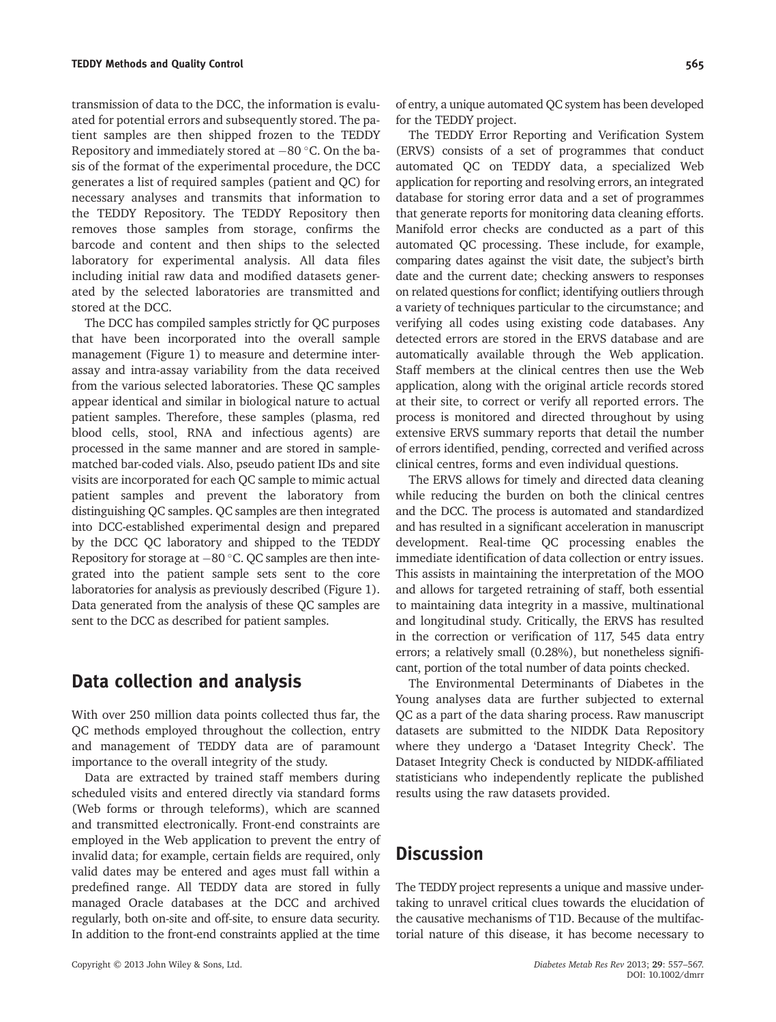transmission of data to the DCC, the information is evaluated for potential errors and subsequently stored. The patient samples are then shipped frozen to the TEDDY Repository and immediately stored at  $-80$  °C. On the basis of the format of the experimental procedure, the DCC generates a list of required samples (patient and QC) for necessary analyses and transmits that information to the TEDDY Repository. The TEDDY Repository then removes those samples from storage, confirms the barcode and content and then ships to the selected laboratory for experimental analysis. All data files including initial raw data and modified datasets generated by the selected laboratories are transmitted and stored at the DCC.

The DCC has compiled samples strictly for QC purposes that have been incorporated into the overall sample management (Figure 1) to measure and determine interassay and intra-assay variability from the data received from the various selected laboratories. These QC samples appear identical and similar in biological nature to actual patient samples. Therefore, these samples (plasma, red blood cells, stool, RNA and infectious agents) are processed in the same manner and are stored in samplematched bar-coded vials. Also, pseudo patient IDs and site visits are incorporated for each QC sample to mimic actual patient samples and prevent the laboratory from distinguishing QC samples. QC samples are then integrated into DCC-established experimental design and prepared by the DCC QC laboratory and shipped to the TEDDY Repository for storage at  $-80$  °C. QC samples are then integrated into the patient sample sets sent to the core laboratories for analysis as previously described (Figure 1). Data generated from the analysis of these QC samples are sent to the DCC as described for patient samples.

### Data collection and analysis

With over 250 million data points collected thus far, the QC methods employed throughout the collection, entry and management of TEDDY data are of paramount importance to the overall integrity of the study.

Data are extracted by trained staff members during scheduled visits and entered directly via standard forms (Web forms or through teleforms), which are scanned and transmitted electronically. Front-end constraints are employed in the Web application to prevent the entry of invalid data; for example, certain fields are required, only valid dates may be entered and ages must fall within a predefined range. All TEDDY data are stored in fully managed Oracle databases at the DCC and archived regularly, both on-site and off-site, to ensure data security. In addition to the front-end constraints applied at the time

of entry, a unique automated QC system has been developed for the TEDDY project.

The TEDDY Error Reporting and Verification System (ERVS) consists of a set of programmes that conduct automated QC on TEDDY data, a specialized Web application for reporting and resolving errors, an integrated database for storing error data and a set of programmes that generate reports for monitoring data cleaning efforts. Manifold error checks are conducted as a part of this automated QC processing. These include, for example, comparing dates against the visit date, the subject's birth date and the current date; checking answers to responses on related questions for conflict; identifying outliers through a variety of techniques particular to the circumstance; and verifying all codes using existing code databases. Any detected errors are stored in the ERVS database and are automatically available through the Web application. Staff members at the clinical centres then use the Web application, along with the original article records stored at their site, to correct or verify all reported errors. The process is monitored and directed throughout by using extensive ERVS summary reports that detail the number of errors identified, pending, corrected and verified across clinical centres, forms and even individual questions.

The ERVS allows for timely and directed data cleaning while reducing the burden on both the clinical centres and the DCC. The process is automated and standardized and has resulted in a significant acceleration in manuscript development. Real-time QC processing enables the immediate identification of data collection or entry issues. This assists in maintaining the interpretation of the MOO and allows for targeted retraining of staff, both essential to maintaining data integrity in a massive, multinational and longitudinal study. Critically, the ERVS has resulted in the correction or verification of 117, 545 data entry errors; a relatively small (0.28%), but nonetheless significant, portion of the total number of data points checked.

The Environmental Determinants of Diabetes in the Young analyses data are further subjected to external QC as a part of the data sharing process. Raw manuscript datasets are submitted to the NIDDK Data Repository where they undergo a 'Dataset Integrity Check'. The Dataset Integrity Check is conducted by NIDDK-affiliated statisticians who independently replicate the published results using the raw datasets provided.

### **Discussion**

The TEDDY project represents a unique and massive undertaking to unravel critical clues towards the elucidation of the causative mechanisms of T1D. Because of the multifactorial nature of this disease, it has become necessary to